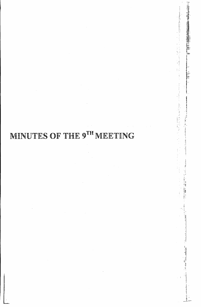## MINUTES OF THE 9TH MEETING

湖北 1111-111

【1958】 【1958】 【1958】 【1958】 【1958】 【1958】 【1958】 【1958】 】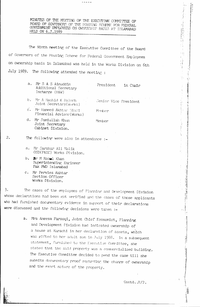MINUTES OF THE MEETING OF THE EXECUTIVE COMMITTEE OF POARD OF GOVERNORS OF THE HOUSING SCHEME FOR FEDERAL COVERNMENT EMPLOYETS ON OWNFRSHIP BASIS AT ISLAMABAD HELD ON 6.7.1989

aansa

The Ninth meeting of the Executive Committee of the Board of Governors of the Fousing Scheme for Federal Government Employees on ownership basis in Islamabad was held in the Works Division on 6th July 1989. The following attended the meeting :

> a. Mr S A S Ainuddin Additional Secretary Incharge (H&W)

President in Chair  $\begin{bmatrix} 1 \\ 1 \\ 1 \\ 1 \end{bmatrix}$ 

 $\epsilon$ 

₹∲.  $\frac{1}{2}$ 

 $\frac{1}{2}$ 

 $\frac{1}{2}$ 

en an an an

**Contractor** 

 $\mathbf{i}_i$ 

fa<br>Su  $\begin{bmatrix} 1 \\ 1 \\ 1 \end{bmatrix}$ 

 $\hat{A}$  $\mathcal{F}(\mathcal{G})$ 

b. Mr A Rashid K Paloch Joint Secretary (Works)

Senior Vice President

c'. Mr Hameed Akhtar Mani Financial Advisor(Works)

Member

Member

Joint Secretary Cabinet Division.

d. Mr Samiullah Khan

- $2.$
- The following were also in attendance :
	- a. Mr Sarshar Ali Malik OSD(P&EC) Works Division.
	- b. Mar M Rasul Khan Superintending Engineer Pak PWD Islamabad
	- c. Mr Perviez Akhtar Section Officer Works Division.

The cases of the employees of Planning and Development Division 3. whose declarations had been got verified and the cases of those applicants who had furnished documentary evidence in support of their declarations were discussed and the following decisions were taken :-

> a. Mrs Aneesa Farooqi, Joint Chief Economist, Planning and Development Pivision had indicated ownership of a house at Karachi in her declaration of assets, which was gifted to her adult son in July 1988. In a subsequent statement, furnished to the Executive Committee, she stated that the said property was a commercialised building. The Executive Committee decided to pend the case till she submits documentary proof regarding the change of ownership and the exact nature of the property.

> > Contd..P/2.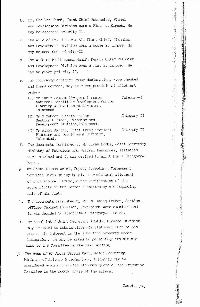- b. Dr. Shaukat Kazmi, Joint Chief Economist, Planni and Development Division owns a Flat at Karachi He may be accorded priority-Il.
- c. The wife of Mr. Mussarat Ali Kiwn, Chief, Planning and Development Division owns a house at Lahore. He may be accorded priority-II.
- d. The wife of Mr Muhammad Hanif, Deputy Chief Planning and Development Division owns a flat at Lahore. He may be given priority-II.
- e. The following officers whose declarations were checked and found correct, may be given provisional allotment orders :
	- Category-I (1) Mr Tahir Saleem (Project Director National Fertilizer Development Centre Planning & Development Division, Islamabad
	- (2) Mr S Zahoor Hussain Gillani Category-II Section Officer, Planning and Development Division, Islamabad.
	- (3) Mr Aijaz Akhtar, Chief (PP&H Section) Category-II Planning and Development Division, Islambad.
- f. The documents furnished by Mr Ilyas Lodhi, Joint Secretary Ministry of Petroleum and Natural Resources, Islamabad were examined and it was decided to allot him a Category-I house.
- g. Mr Shamsul Hoda Azizi, Deputy Secretary, Management Services Division may be given provisional allotment of a Category-II house, after verification of the authenticity of the letter submitted by him regarding sale of his flat.
- h. The documents furnished by Mr. M. Rafiq Chuhan, Section Officer Cabinet Division, Rawalpindi were examined and it was decided to allot him a Category-II House.
- 1. Mr Abdul Latif Joint Secretary (Retd), Finance Division may be asked to substantiate his statement that he has ceased his interest in the inherited property under litigation. He may be asked to personally explain his case to the Committee in the next meeting.
- j. The case of Mr Abdul Qayyum Kazi, Joint Secretary, Ministry of Science & Technolory, Islamahad may be considered against the discretionary quota of the Executive Committee in the second phase of the scheme.

Contd.. $P/3$ .